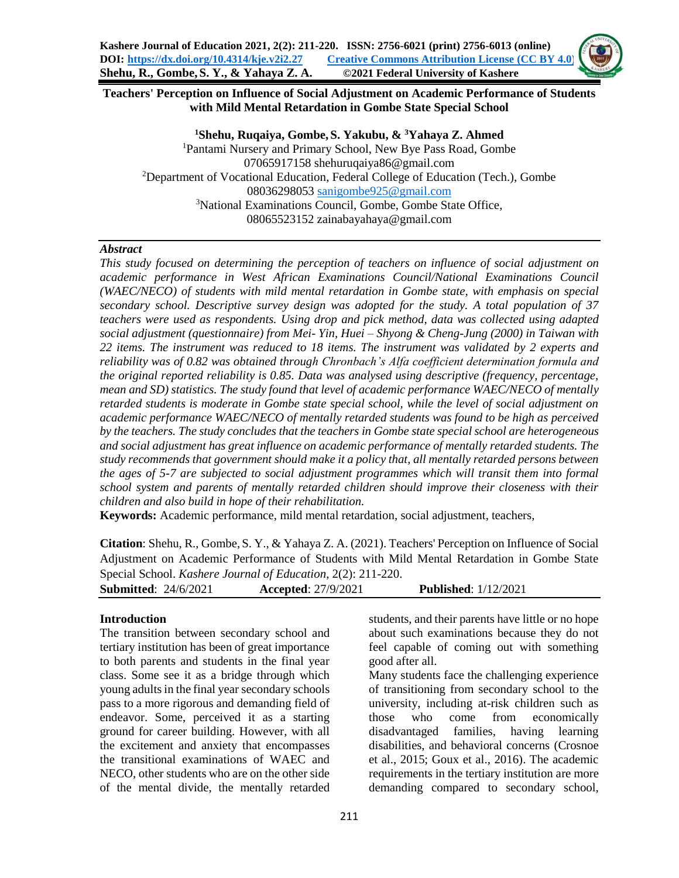## **Teachers' Perception on Influence of Social Adjustment on Academic Performance of Students with Mild Mental Retardation in Gombe State Special School**

**Shehu, Ruqaiya, Gombe, S. Yakubu, & <sup>3</sup>Yahaya Z. Ahmed** Pantami Nursery and Primary School, New Bye Pass Road, Gombe 07065917158 shehuruqaiya86@gmail.com Department of Vocational Education, Federal College of Education (Tech.), Gombe  [sanigombe925@gmail.com](mailto:sanigombe925@gmail.com) National Examinations Council, Gombe, Gombe State Office, 08065523152 zainabayahaya@gmail.com

### *Abstract*

*This study focused on determining the perception of teachers on influence of social adjustment on academic performance in West African Examinations Council/National Examinations Council (WAEC/NECO) of students with mild mental retardation in Gombe state, with emphasis on special secondary school. Descriptive survey design was adopted for the study. A total population of 37 teachers were used as respondents. Using drop and pick method, data was collected using adapted social adjustment (questionnaire) from Mei- Yin, Huei – Shyong & Cheng-Jung (2000) in Taiwan with 22 items. The instrument was reduced to 18 items. The instrument was validated by 2 experts and reliability was of 0.82 was obtained through Chronbach's Alfa coefficient determination formula and the original reported reliability is 0.85. Data was analysed using descriptive (frequency, percentage, mean and SD) statistics. The study found that level of academic performance WAEC/NECO of mentally retarded students is moderate in Gombe state special school, while the level of social adjustment on academic performance WAEC/NECO of mentally retarded students was found to be high as perceived by the teachers. The study concludes that the teachers in Gombe state special school are heterogeneous and social adjustment has great influence on academic performance of mentally retarded students. The study recommends that government should make it a policy that, all mentally retarded persons between the ages of 5-7 are subjected to social adjustment programmes which will transit them into formal school system and parents of mentally retarded children should improve their closeness with their children and also build in hope of their rehabilitation.*

**Keywords:** Academic performance, mild mental retardation, social adjustment, teachers,

**Citation**: Shehu, R., Gombe,S. Y., & Yahaya Z. A. (2021). Teachers' Perception on Influence of Social Adjustment on Academic Performance of Students with Mild Mental Retardation in Gombe State Special School. *Kashere Journal of Education*, 2(2): 211-220.

| <b>Submitted: 24/6/2021</b> | <b>Accepted:</b> 27/9/2021 | <b>Published:</b> 1/12/2021 |  |
|-----------------------------|----------------------------|-----------------------------|--|
|-----------------------------|----------------------------|-----------------------------|--|

## **Introduction**

The transition between secondary school and tertiary institution has been of great importance to both parents and students in the final year class. Some see it as a bridge through which young adults in the final year secondary schools pass to a more rigorous and demanding field of endeavor. Some, perceived it as a starting ground for career building. However, with all the excitement and anxiety that encompasses the transitional examinations of WAEC and NECO, other students who are on the other side of the mental divide, the mentally retarded students, and their parents have little or no hope about such examinations because they do not feel capable of coming out with something good after all.

Many students face the challenging experience of transitioning from secondary school to the university, including at-risk children such as those who come from economically disadvantaged families, having learning disabilities, and behavioral concerns (Crosnoe et al., 2015; Goux et al., 2016). The academic requirements in the tertiary institution are more demanding compared to secondary school,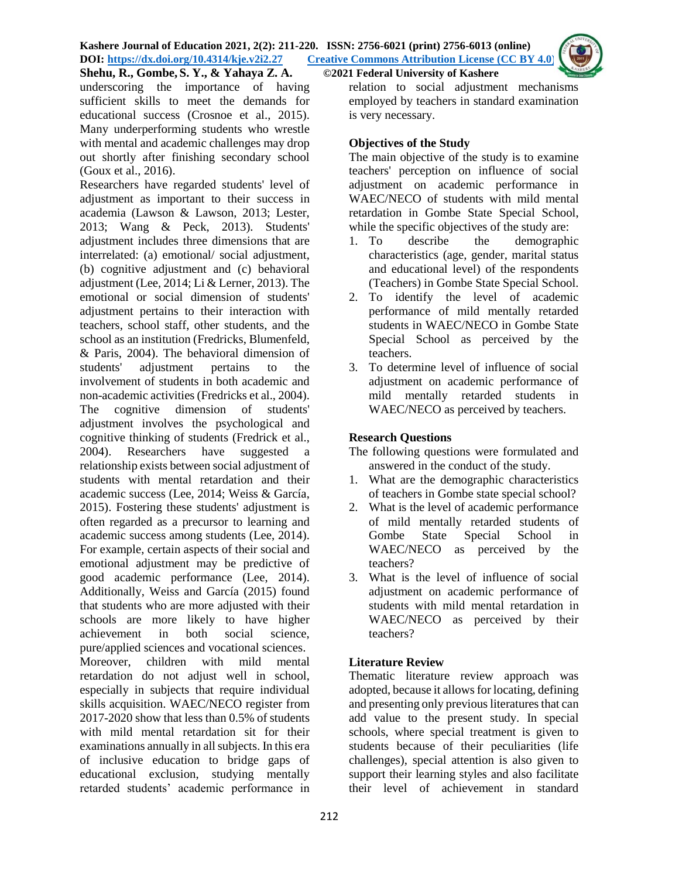underscoring the importance of having sufficient skills to meet the demands for educational success (Crosnoe et al., 2015). Many underperforming students who wrestle with mental and academic challenges may drop out shortly after finishing secondary school (Goux et al., 2016).

Researchers have regarded students' level of adjustment as important to their success in academia (Lawson & Lawson, 2013; Lester, 2013; Wang & Peck, 2013). Students' adjustment includes three dimensions that are interrelated: (a) emotional/ social adjustment, (b) cognitive adjustment and (c) behavioral adjustment (Lee, 2014; Li & Lerner, 2013). The emotional or social dimension of students' adjustment pertains to their interaction with teachers, school staff, other students, and the school as an institution (Fredricks, Blumenfeld, & Paris, 2004). The behavioral dimension of students' adjustment pertains to the involvement of students in both academic and non-academic activities (Fredricks et al., 2004). The cognitive dimension of students' adjustment involves the psychological and cognitive thinking of students (Fredrick et al., 2004). Researchers have suggested a relationship exists between social adjustment of students with mental retardation and their academic success (Lee, 2014; Weiss & García, 2015). Fostering these students' adjustment is often regarded as a precursor to learning and academic success among students (Lee, 2014). For example, certain aspects of their social and emotional adjustment may be predictive of good academic performance (Lee, 2014). Additionally, Weiss and García (2015) found that students who are more adjusted with their schools are more likely to have higher achievement in both social science, pure/applied sciences and vocational sciences. Moreover, children with mild mental retardation do not adjust well in school, especially in subjects that require individual skills acquisition. WAEC/NECO register from 2017-2020 show that less than 0.5% of students with mild mental retardation sit for their examinations annually in all subjects. In this era of inclusive education to bridge gaps of educational exclusion, studying mentally retarded students' academic performance in

relation to social adjustment mechanisms employed by teachers in standard examination is very necessary.

# **Objectives of the Study**

The main objective of the study is to examine teachers' perception on influence of social adjustment on academic performance in WAEC/NECO of students with mild mental retardation in Gombe State Special School, while the specific objectives of the study are:

- 1. To describe the demographic characteristics (age, gender, marital status and educational level) of the respondents (Teachers) in Gombe State Special School.
- 2. To identify the level of academic performance of mild mentally retarded students in WAEC/NECO in Gombe State Special School as perceived by the teachers.
- 3. To determine level of influence of social adjustment on academic performance of mild mentally retarded students in WAEC/NECO as perceived by teachers.

# **Research Questions**

- The following questions were formulated and answered in the conduct of the study.
- 1. What are the demographic characteristics of teachers in Gombe state special school?
- 2. What is the level of academic performance of mild mentally retarded students of Gombe State Special School in WAEC/NECO as perceived by the teachers?
- 3. What is the level of influence of social adjustment on academic performance of students with mild mental retardation in WAEC/NECO as perceived by their teachers?

# **Literature Review**

Thematic literature review approach was adopted, because it allows for locating, defining and presenting only previous literatures that can add value to the present study. In special schools, where special treatment is given to students because of their peculiarities (life challenges), special attention is also given to support their learning styles and also facilitate their level of achievement in standard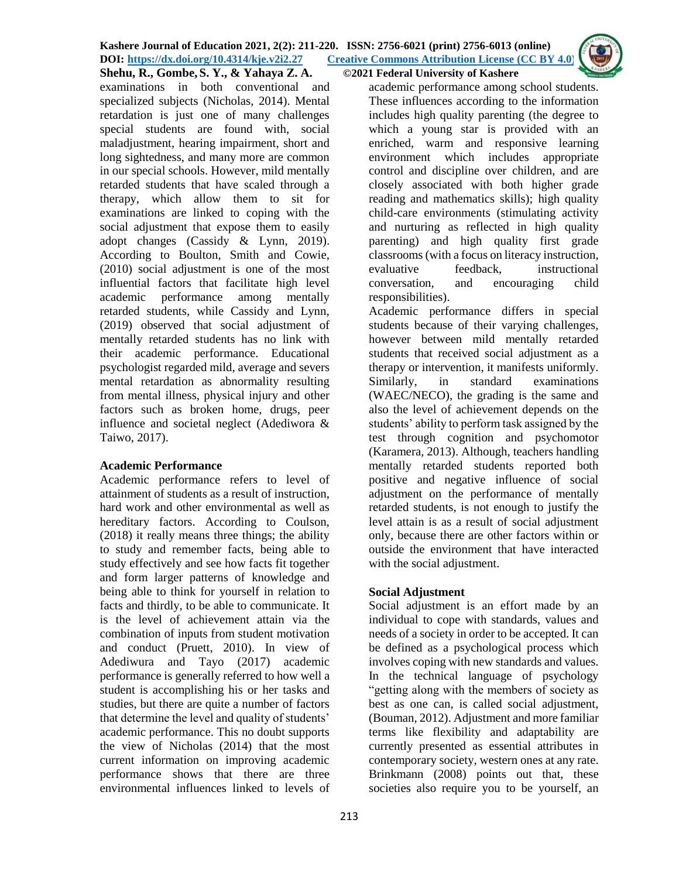#### **Shehu, R., Gombe, S. Y., & Yahaya Z. A. ©2021 Federal University of Kashere**

examinations in both conventional and specialized subjects (Nicholas, 2014). Mental retardation is just one of many challenges special students are found with, social maladjustment, hearing impairment, short and long sightedness, and many more are common in our special schools. However, mild mentally retarded students that have scaled through a therapy, which allow them to sit for examinations are linked to coping with the social adjustment that expose them to easily adopt changes (Cassidy & Lynn, 2019). According to Boulton, Smith and Cowie, (2010) social adjustment is one of the most influential factors that facilitate high level academic performance among mentally retarded students, while Cassidy and Lynn, (2019) observed that social adjustment of mentally retarded students has no link with their academic performance. Educational psychologist regarded mild, average and severs mental retardation as abnormality resulting from mental illness, physical injury and other factors such as broken home, drugs, peer influence and societal neglect (Adediwora & Taiwo, 2017).

## **Academic Performance**

Academic performance refers to level of attainment of students as a result of instruction, hard work and other environmental as well as hereditary factors. According to Coulson, (2018) it really means three things; the ability to study and remember facts, being able to study effectively and see how facts fit together and form larger patterns of knowledge and being able to think for yourself in relation to facts and thirdly, to be able to communicate. It is the level of achievement attain via the combination of inputs from student motivation and conduct (Pruett, 2010). In view of Adediwura and Tayo (2017) academic performance is generally referred to how well a student is accomplishing his or her tasks and studies, but there are quite a number of factors that determine the level and quality of students' academic performance. This no doubt supports the view of Nicholas (2014) that the most current information on improving academic performance shows that there are three environmental influences linked to levels of

academic performance among school students. These influences according to the information includes high quality parenting (the degree to which a young star is provided with an enriched, warm and responsive learning environment which includes appropriate control and discipline over children, and are closely associated with both higher grade reading and mathematics skills); high quality child-care environments (stimulating activity and nurturing as reflected in high quality parenting) and high quality first grade classrooms (with a focus on literacy instruction, evaluative feedback, instructional conversation, and encouraging child responsibilities).

Academic performance differs in special students because of their varying challenges, however between mild mentally retarded students that received social adjustment as a therapy or intervention, it manifests uniformly. Similarly, in standard examinations (WAEC/NECO), the grading is the same and also the level of achievement depends on the students' ability to perform task assigned by the test through cognition and psychomotor (Karamera, 2013). Although, teachers handling mentally retarded students reported both positive and negative influence of social adjustment on the performance of mentally retarded students, is not enough to justify the level attain is as a result of social adjustment only, because there are other factors within or outside the environment that have interacted with the social adjustment.

## **Social Adjustment**

Social adjustment is an effort made by an individual to cope with standards, values and needs of a society in order to be accepted. It can be defined as a psychological process which involves coping with new standards and values. In the technical language of psychology "getting along with the members of society as best as one can, is called social adjustment, (Bouman, 2012). Adjustment and more familiar terms like flexibility and adaptability are currently presented as essential attributes in contemporary society, western ones at any rate. Brinkmann (2008) points out that, these societies also require you to be yourself, an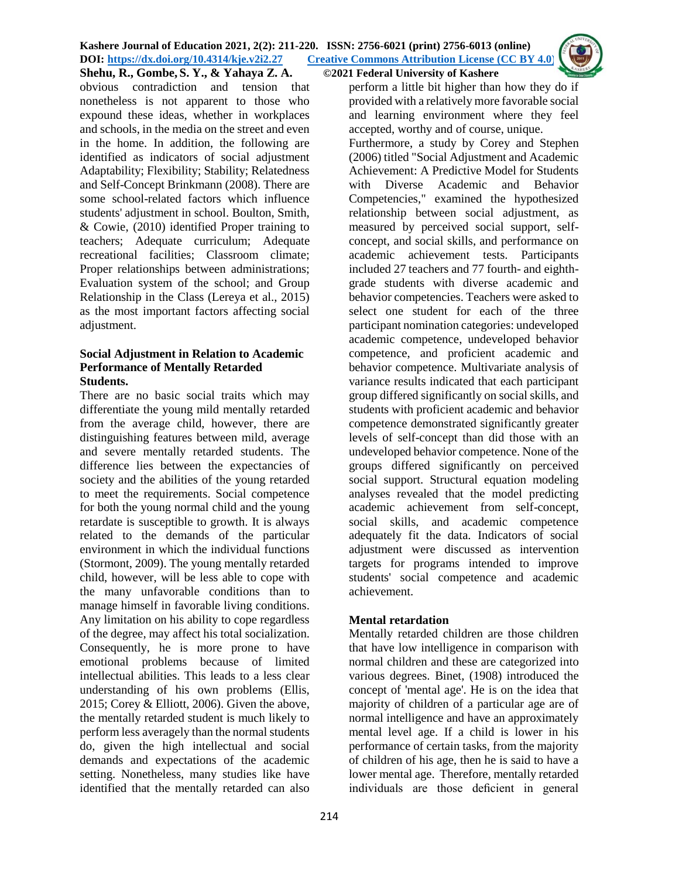

obvious contradiction and tension that nonetheless is not apparent to those who expound these ideas, whether in workplaces and schools, in the media on the street and even in the home. In addition, the following are identified as indicators of social adjustment Adaptability; Flexibility; Stability; Relatedness and Self-Concept Brinkmann (2008). There are some school-related factors which influence students' adjustment in school. Boulton, Smith, & Cowie, (2010) identified Proper training to teachers; Adequate curriculum; Adequate recreational facilities; Classroom climate; Proper relationships between administrations; Evaluation system of the school; and Group Relationship in the Class (Lereya et al., 2015) as the most important factors affecting social adjustment.

## **Social Adjustment in Relation to Academic Performance of Mentally Retarded Students.**

There are no basic social traits which may differentiate the young mild mentally retarded from the average child, however, there are distinguishing features between mild, average and severe mentally retarded students. The difference lies between the expectancies of society and the abilities of the young retarded to meet the requirements. Social competence for both the young normal child and the young retardate is susceptible to growth. It is always related to the demands of the particular environment in which the individual functions (Stormont, 2009). The young mentally retarded child, however, will be less able to cope with the many unfavorable conditions than to manage himself in favorable living conditions. Any limitation on his ability to cope regardless of the degree, may affect his total socialization. Consequently, he is more prone to have emotional problems because of limited intellectual abilities. This leads to a less clear understanding of his own problems (Ellis, 2015; Corey & Elliott, 2006). Given the above, the mentally retarded student is much likely to perform less averagely than the normal students do, given the high intellectual and social demands and expectations of the academic setting. Nonetheless, many studies like have identified that the mentally retarded can also

perform a little bit higher than how they do if provided with a relatively more favorable social and learning environment where they feel accepted, worthy and of course, unique. Furthermore, a study by Corey and Stephen (2006) titled "Social Adjustment and Academic Achievement: A Predictive Model for Students with Diverse Academic and Behavior Competencies," examined the hypothesized relationship between social adjustment, as measured by perceived social support, selfconcept, and social skills, and performance on academic achievement tests. Participants included 27 teachers and 77 fourth- and eighthgrade students with diverse academic and behavior competencies. Teachers were asked to select one student for each of the three participant nomination categories: undeveloped academic competence, undeveloped behavior competence, and proficient academic and behavior competence. Multivariate analysis of variance results indicated that each participant group differed significantly on social skills, and students with proficient academic and behavior competence demonstrated significantly greater levels of self-concept than did those with an undeveloped behavior competence. None of the groups differed significantly on perceived social support. Structural equation modeling analyses revealed that the model predicting academic achievement from self-concept, social skills, and academic competence adequately fit the data. Indicators of social adjustment were discussed as intervention targets for programs intended to improve students' social competence and academic achievement.

# **Mental retardation**

Mentally retarded children are those children that have low intelligence in comparison with normal children and these are categorized into various degrees. Binet, (1908) introduced the concept of 'mental age'. He is on the idea that majority of children of a particular age are of normal intelligence and have an approximately mental level age. If a child is lower in his performance of certain tasks, from the majority of children of his age, then he is said to have a lower mental age. Therefore, mentally retarded individuals are those deficient in general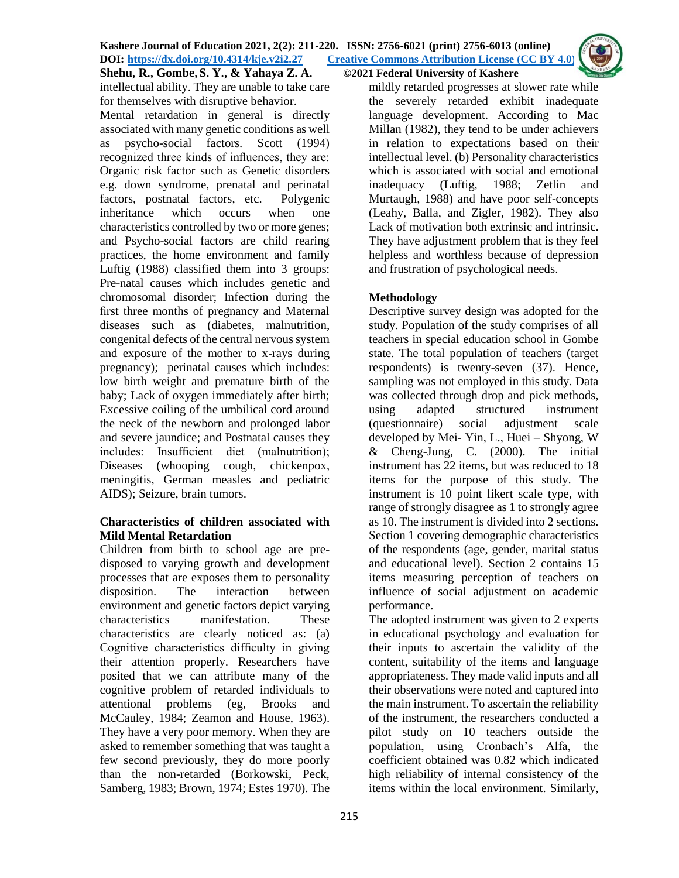intellectual ability. They are unable to take care for themselves with disruptive behavior.

Mental retardation in general is directly associated with many genetic conditions as well as psycho-social factors. Scott (1994) recognized three kinds of influences, they are: Organic risk factor such as Genetic disorders e.g. down syndrome, prenatal and perinatal factors, postnatal factors, etc. Polygenic inheritance which occurs when one characteristics controlled by two or more genes; and Psycho-social factors are child rearing practices, the home environment and family Luftig (1988) classified them into 3 groups: Pre-natal causes which includes genetic and chromosomal disorder; Infection during the first three months of pregnancy and Maternal diseases such as (diabetes, malnutrition, congenital defects of the central nervous system and exposure of the mother to x-rays during pregnancy); perinatal causes which includes: low birth weight and premature birth of the baby; Lack of oxygen immediately after birth; Excessive coiling of the umbilical cord around the neck of the newborn and prolonged labor and severe jaundice; and Postnatal causes they includes: Insufficient diet (malnutrition); Diseases (whooping cough, chickenpox, meningitis, German measles and pediatric AIDS); Seizure, brain tumors.

## **Characteristics of children associated with Mild Mental Retardation**

Children from birth to school age are predisposed to varying growth and development processes that are exposes them to personality disposition. The interaction between environment and genetic factors depict varying characteristics manifestation. These characteristics are clearly noticed as: (a) Cognitive characteristics difficulty in giving their attention properly. Researchers have posited that we can attribute many of the cognitive problem of retarded individuals to attentional problems (eg, Brooks and McCauley, 1984; Zeamon and House, 1963). They have a very poor memory. When they are asked to remember something that was taught a few second previously, they do more poorly than the non-retarded (Borkowski, Peck, Samberg, 1983; Brown, 1974; Estes 1970). The

mildly retarded progresses at slower rate while the severely retarded exhibit inadequate language development. According to Mac Millan (1982), they tend to be under achievers in relation to expectations based on their intellectual level. (b) Personality characteristics which is associated with social and emotional inadequacy (Luftig, 1988; Zetlin and Murtaugh, 1988) and have poor self-concepts (Leahy, Balla, and Zigler, 1982). They also Lack of motivation both extrinsic and intrinsic. They have adjustment problem that is they feel helpless and worthless because of depression and frustration of psychological needs.

# **Methodology**

Descriptive survey design was adopted for the study. Population of the study comprises of all teachers in special education school in Gombe state. The total population of teachers (target respondents) is twenty-seven (37). Hence, sampling was not employed in this study. Data was collected through drop and pick methods, using adapted structured instrument (questionnaire) social adjustment scale developed by Mei- Yin, L., Huei – Shyong, W & Cheng-Jung, C. (2000). The initial instrument has 22 items, but was reduced to 18 items for the purpose of this study. The instrument is 10 point likert scale type, with range of strongly disagree as 1 to strongly agree as 10. The instrument is divided into 2 sections. Section 1 covering demographic characteristics of the respondents (age, gender, marital status and educational level). Section 2 contains 15 items measuring perception of teachers on influence of social adjustment on academic performance.

The adopted instrument was given to 2 experts in educational psychology and evaluation for their inputs to ascertain the validity of the content, suitability of the items and language appropriateness. They made valid inputs and all their observations were noted and captured into the main instrument. To ascertain the reliability of the instrument, the researchers conducted a pilot study on 10 teachers outside the population, using Cronbach's Alfa, the coefficient obtained was 0.82 which indicated high reliability of internal consistency of the items within the local environment. Similarly,

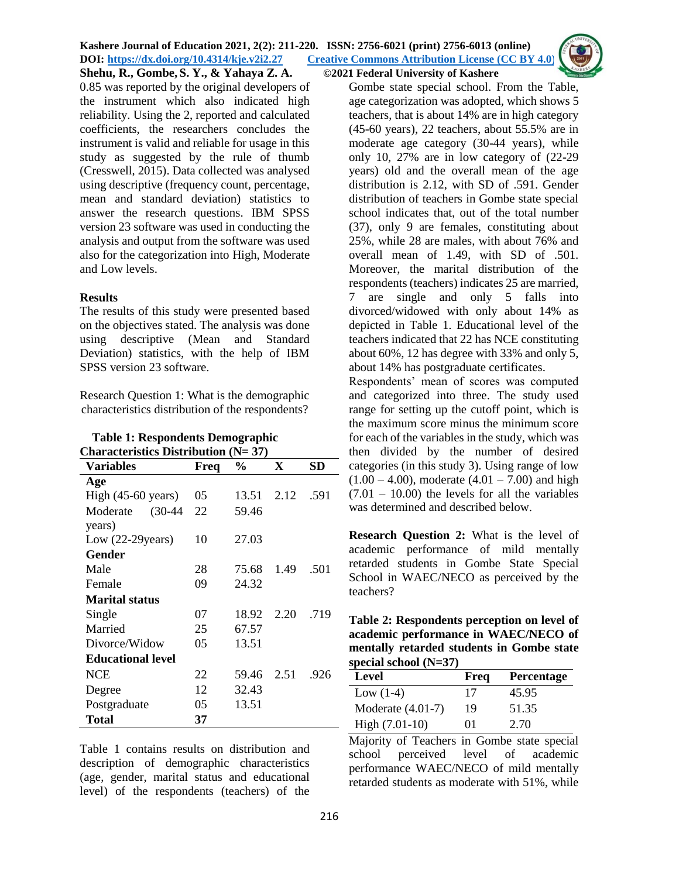0.85 was reported by the original developers of the instrument which also indicated high reliability. Using the 2, reported and calculated coefficients, the researchers concludes the instrument is valid and reliable for usage in this study as suggested by the rule of thumb (Cresswell, 2015). Data collected was analysed using descriptive (frequency count, percentage, mean and standard deviation) statistics to answer the research questions. IBM SPSS version 23 software was used in conducting the analysis and output from the software was used also for the categorization into High, Moderate and Low levels.

#### **Results**

The results of this study were presented based on the objectives stated. The analysis was done using descriptive (Mean and Standard Deviation) statistics, with the help of IBM SPSS version 23 software.

Research Question 1: What is the demographic characteristics distribution of the respondents?

| <b>Table 1: Respondents Demographic</b>     |
|---------------------------------------------|
| <b>Characteristics Distribution (N= 37)</b> |

| Variables                    | Freq | $\frac{6}{9}$ | X    | SD   |
|------------------------------|------|---------------|------|------|
| Age                          |      |               |      |      |
| High $(45-60 \text{ years})$ | 05   | 13.51         | 2.12 | .591 |
| Moderate (30-44              | 22   | 59.46         |      |      |
| years)                       |      |               |      |      |
| Low $(22-29)$ years)         | 10   | 27.03         |      |      |
| Gender                       |      |               |      |      |
| Male                         | 28   | 75.68         | 1.49 | .501 |
| Female                       | 09   | 24.32         |      |      |
| <b>Marital status</b>        |      |               |      |      |
| Single                       | 07   | 18.92         | 2.20 | .719 |
| Married                      | 25   | 67.57         |      |      |
| Divorce/Widow                | 05   | 13.51         |      |      |
| <b>Educational level</b>     |      |               |      |      |
| <b>NCE</b>                   | 22   | 59.46         | 2.51 | .926 |
| Degree                       | 12   | 32.43         |      |      |
| Postgraduate                 | 05   | 13.51         |      |      |
| Total                        | 37   |               |      |      |

Table 1 contains results on distribution and description of demographic characteristics (age, gender, marital status and educational level) of the respondents (teachers) of the

Gombe state special school. From the Table, age categorization was adopted, which shows 5 teachers, that is about 14% are in high category (45-60 years), 22 teachers, about 55.5% are in moderate age category (30-44 years), while only 10, 27% are in low category of (22-29 years) old and the overall mean of the age distribution is 2.12, with SD of .591. Gender distribution of teachers in Gombe state special school indicates that, out of the total number (37), only 9 are females, constituting about 25%, while 28 are males, with about 76% and overall mean of 1.49, with SD of .501. Moreover, the marital distribution of the respondents (teachers) indicates 25 are married, 7 are single and only 5 falls into divorced/widowed with only about 14% as depicted in Table 1. Educational level of the teachers indicated that 22 has NCE constituting about 60%, 12 has degree with 33% and only 5, about 14% has postgraduate certificates.

Respondents' mean of scores was computed and categorized into three. The study used range for setting up the cutoff point, which is the maximum score minus the minimum score for each of the variables in the study, which was then divided by the number of desired categories (in this study 3). Using range of low  $(1.00 - 4.00)$ , moderate  $(4.01 - 7.00)$  and high  $(7.01 - 10.00)$  the levels for all the variables was determined and described below.

**Research Question 2:** What is the level of academic performance of mild mentally retarded students in Gombe State Special School in WAEC/NECO as perceived by the teachers?

| Table 2: Respondents perception on level of |
|---------------------------------------------|
| academic performance in WAEC/NECO of        |
| mentally retarded students in Gombe state   |
| special school $(N=37)$                     |

| Level               | Freq | Percentage |
|---------------------|------|------------|
| Low $(1-4)$         | 17   | 45.95      |
| Moderate $(4.01-7)$ | 19   | 51.35      |
| $High (7.01-10)$    | 01   | 2.70       |

Majority of Teachers in Gombe state special school perceived level of academic performance WAEC/NECO of mild mentally retarded students as moderate with 51%, while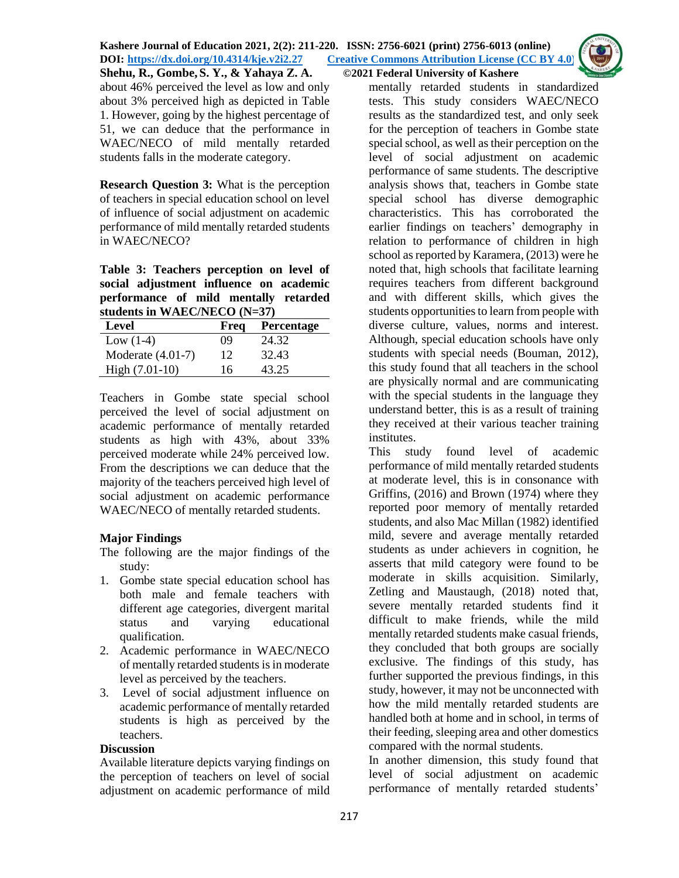about 46% perceived the level as low and only about 3% perceived high as depicted in Table 1. However, going by the highest percentage of 51, we can deduce that the performance in WAEC/NECO of mild mentally retarded students falls in the moderate category.

**Research Question 3:** What is the perception of teachers in special education school on level of influence of social adjustment on academic performance of mild mentally retarded students in WAEC/NECO?

**Table 3: Teachers perception on level of social adjustment influence on academic performance of mild mentally retarded students in WAEC/NECO (N=37)**

| Level               | Freq | Percentage |
|---------------------|------|------------|
| Low $(1-4)$         | 09   | 24.32      |
| Moderate $(4.01-7)$ | 12   | 32.43      |
| High $(7.01-10)$    | 16   | 43.25      |

Teachers in Gombe state special school perceived the level of social adjustment on academic performance of mentally retarded students as high with 43%, about 33% perceived moderate while 24% perceived low. From the descriptions we can deduce that the majority of the teachers perceived high level of social adjustment on academic performance WAEC/NECO of mentally retarded students.

# **Major Findings**

The following are the major findings of the study:

- 1. Gombe state special education school has both male and female teachers with different age categories, divergent marital status and varying educational qualification.
- 2. Academic performance in WAEC/NECO of mentally retarded students is in moderate level as perceived by the teachers.
- 3. Level of social adjustment influence on academic performance of mentally retarded students is high as perceived by the teachers.

# **Discussion**

Available literature depicts varying findings on the perception of teachers on level of social adjustment on academic performance of mild

mentally retarded students in standardized tests. This study considers WAEC/NECO results as the standardized test, and only seek for the perception of teachers in Gombe state special school, as well as their perception on the level of social adjustment on academic performance of same students. The descriptive analysis shows that, teachers in Gombe state special school has diverse demographic characteristics. This has corroborated the earlier findings on teachers' demography in relation to performance of children in high school as reported by Karamera, (2013) were he noted that, high schools that facilitate learning requires teachers from different background and with different skills, which gives the students opportunities to learn from people with diverse culture, values, norms and interest. Although, special education schools have only students with special needs (Bouman, 2012), this study found that all teachers in the school are physically normal and are communicating with the special students in the language they understand better, this is as a result of training they received at their various teacher training institutes.

This study found level of academic performance of mild mentally retarded students at moderate level, this is in consonance with Griffins, (2016) and Brown (1974) where they reported poor memory of mentally retarded students, and also Mac Millan (1982) identified mild, severe and average mentally retarded students as under achievers in cognition, he asserts that mild category were found to be moderate in skills acquisition. Similarly, Zetling and Maustaugh, (2018) noted that, severe mentally retarded students find it difficult to make friends, while the mild mentally retarded students make casual friends, they concluded that both groups are socially exclusive. The findings of this study, has further supported the previous findings, in this study, however, it may not be unconnected with how the mild mentally retarded students are handled both at home and in school, in terms of their feeding, sleeping area and other domestics compared with the normal students.

In another dimension, this study found that level of social adjustment on academic performance of mentally retarded students'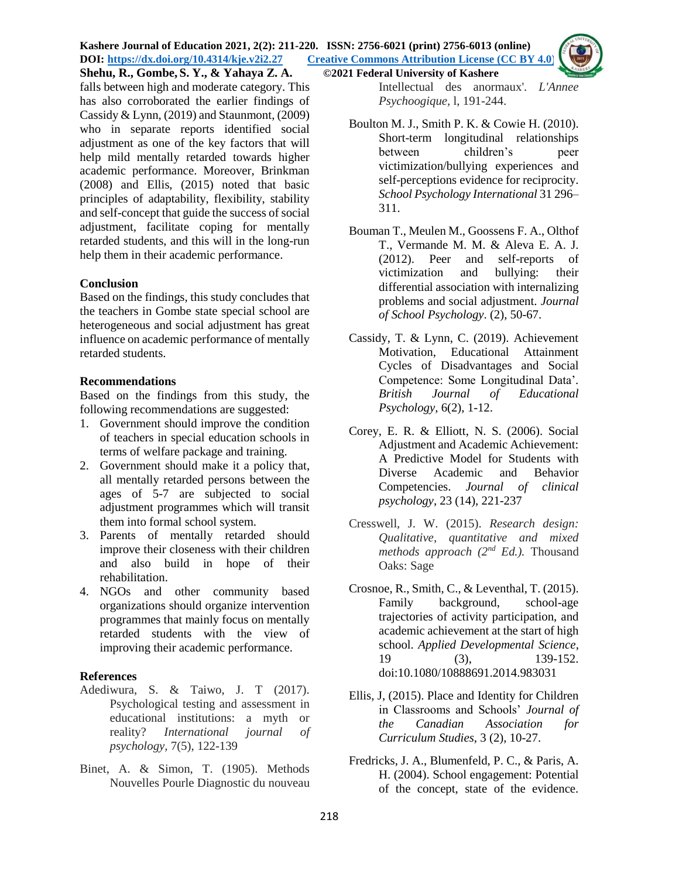#### **Kashere Journal of Education 2021, 2(2): 211-220. ISSN: 2756-6021 (print) 2756-6013 (online) DOI: <https://dx.doi.org/10.4314/kje.v2i2.27> [Creative Commons Attribution License](http://creativecommons.org/licenses/by/4.0/) (CC BY 4.0) Shehu, R., Gombe, S. Y., & Yahaya Z. A. ©2021 Federal University of Kashere**

falls between high and moderate category. This has also corroborated the earlier findings of Cassidy & Lynn, (2019) and Staunmont, (2009) who in separate reports identified social adjustment as one of the key factors that will help mild mentally retarded towards higher academic performance. Moreover, Brinkman (2008) and Ellis, (2015) noted that basic principles of adaptability, flexibility, stability and self-concept that guide the success of social adjustment, facilitate coping for mentally retarded students, and this will in the long-run help them in their academic performance.

### **Conclusion**

Based on the findings, this study concludes that the teachers in Gombe state special school are heterogeneous and social adjustment has great influence on academic performance of mentally retarded students.

#### **Recommendations**

Based on the findings from this study, the following recommendations are suggested:

- 1. Government should improve the condition of teachers in special education schools in terms of welfare package and training.
- 2. Government should make it a policy that, all mentally retarded persons between the ages of 5-7 are subjected to social adjustment programmes which will transit them into formal school system.
- 3. Parents of mentally retarded should improve their closeness with their children and also build in hope of their rehabilitation.
- 4. NGOs and other community based organizations should organize intervention programmes that mainly focus on mentally retarded students with the view of improving their academic performance.

### **References**

- Adediwura, S. & Taiwo, J. T (2017). Psychological testing and assessment in educational institutions: a myth or reality? *International journal of psychology,* 7(5), 122-139
- Binet, A. & Simon, T. (1905). Methods Nouvelles Pourle Diagnostic du nouveau

Intellectual des anormaux'. *L'Annee Psychoogique,* l, 191-244.

- Boulton M. J., Smith P. K. & Cowie H. (2010). Short-term longitudinal relationships between children's peer victimization/bullying experiences and self-perceptions evidence for reciprocity. *School Psychology International* 31 296– 311.
- Bouman T., Meulen M., Goossens F. A., Olthof T., Vermande M. M. & Aleva E. A. J. (2012). Peer and self-reports of victimization and bullying: their differential association with internalizing problems and social adjustment. *Journal of School Psychology*. (2), 50-67.
- Cassidy, T. & Lynn, C. (2019). Achievement Motivation, Educational Attainment Cycles of Disadvantages and Social Competence: Some Longitudinal Data'*. British Journal of Educational Psychology,* 6(2), 1-12.
- Corey, E. R. & Elliott, N. S. (2006). Social Adjustment and Academic Achievement: A Predictive Model for Students with Diverse Academic and Behavior Competencies. *Journal of clinical psychology*, 23 (14), 221-237
- Cresswell, J. W. (2015). *Research design: Qualitative, quantitative and mixed methods approach (2nd Ed.).* Thousand Oaks: Sage
- Crosnoe, R., Smith, C., & Leventhal, T. (2015). Family background, school-age trajectories of activity participation, and academic achievement at the start of high school. *Applied Developmental Science*, 19 (3), 139-152. doi:10.1080/10888691.2014.983031
- Ellis, J, (2015). Place and Identity for Children in Classrooms and Schools' *Journal of the Canadian Association for Curriculum Studies*, 3 (2), 10-27.
- Fredricks, J. A., Blumenfeld, P. C., & Paris, A. H. (2004). School engagement: Potential of the concept, state of the evidence.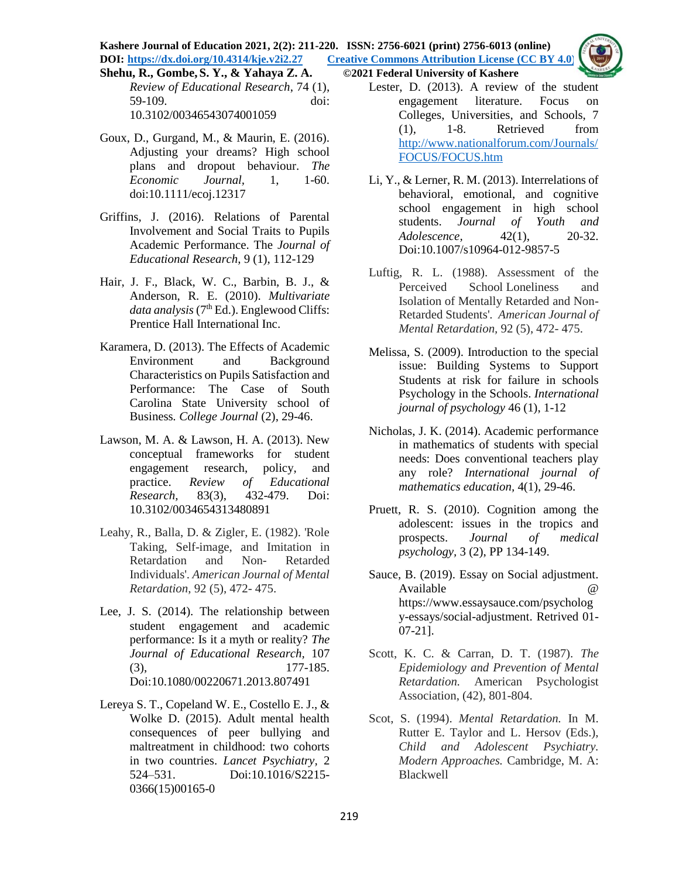**Kashere Journal of Education 2021, 2(2): 211-220. ISSN: 2756-6021 (print) 2756-6013 (online) DOI: <https://dx.doi.org/10.4314/kje.v2i2.27> [Creative Commons Attribution License](http://creativecommons.org/licenses/by/4.0/) (CC BY 4.0)** 

- *Review of Educational Research*, 74 (1), 59-109. doi: 10.3102/00346543074001059
- Goux, D., Gurgand, M., & Maurin, E. (2016). Adjusting your dreams? High school plans and dropout behaviour. *The Economic Journal,* 1, 1-60. doi:10.1111/ecoj.12317
- Griffins, J. (2016). Relations of Parental Involvement and Social Traits to Pupils Academic Performance. The *Journal of Educational Research*, 9 (1), 112-129
- Hair, J. F., Black, W. C., Barbin, B. J., & Anderson, R. E. (2010). *Multivariate*  data analysis (7<sup>th</sup> Ed.). Englewood Cliffs: Prentice Hall International Inc.
- Karamera, D. (2013). The Effects of Academic Environment and Background Characteristics on Pupils Satisfaction and Performance: The Case of South Carolina State University school of Business*. College Journal* (2), 29-46.
- Lawson, M. A. & Lawson, H. A. (2013). New conceptual frameworks for student engagement research, policy, and practice. *Review of Educational Research,* 83(3), 432-479. Doi: 10.3102/0034654313480891
- Leahy, R., Balla, D. & Zigler, E. (1982). 'Role Taking, Self-image, and Imitation in Retardation and Non- Retarded Individuals'. *American Journal of Mental Retardation*, 92 (5), 472- 475.
- Lee, J. S. (2014). The relationship between student engagement and academic performance: Is it a myth or reality? *The Journal of Educational Research,* 107 (3), 177-185. Doi:10.1080/00220671.2013.807491
- Lereya S. T., Copeland W. E., Costello E. J., & Wolke D. (2015). Adult mental health consequences of peer bullying and maltreatment in childhood: two cohorts in two countries. *Lancet Psychiatry,* 2 524–531. Doi:10.1016/S2215- 0366(15)00165-0

## **Shehu, R., Gombe, S. Y., & Yahaya Z. A. ©2021 Federal University of Kashere**

- Lester, D. (2013). A review of the student engagement literature. Focus on Colleges, Universities, and Schools, 7 (1), 1-8. Retrieved from [http://www.nationalforum.com/Journals/](http://www.nationalforum.com/Journals/FOCUS/FOCUS.htm) [FOCUS/FOCUS.htm](http://www.nationalforum.com/Journals/FOCUS/FOCUS.htm)
- Li, Y., & Lerner, R. M. (2013). Interrelations of behavioral, emotional, and cognitive school engagement in high school students. *Journal of Youth and Adolescence,* 42(1), 20-32. Doi:10.1007/s10964-012-9857-5
- Luftig, R. L. (1988). Assessment of the Perceived School Loneliness and Isolation of Mentally Retarded and Non-Retarded Students'. *American Journal of Mental Retardation,* 92 (5), 472- 475.
- Melissa, S. (2009). Introduction to the special issue: Building Systems to Support Students at risk for failure in schools Psychology in the Schools. *International journal of psychology* 46 (1), 1-12
- Nicholas, J. K. (2014). Academic performance in mathematics of students with special needs: Does conventional teachers play any role? *International journal of mathematics education,* 4(1), 29-46.
- Pruett, R. S. (2010). Cognition among the adolescent: issues in the tropics and prospects. *Journal of medical psychology,* 3 (2), PP 134-149.
- Sauce, B. (2019). Essay on Social adjustment. Available @ https://www.essaysauce.com/psycholog y-essays/social-adjustment. Retrived 01- 07-21].
- Scott, K. C. & Carran, D. T. (1987). *The Epidemiology and Prevention of Mental Retardation.* American Psychologist Association, (42), 801-804.
- Scot, S. (1994). *Mental Retardation.* In M. Rutter E. Taylor and L. Hersov (Eds.), *Child and Adolescent Psychiatry. Modern Approaches.* Cambridge, M. A: Blackwell